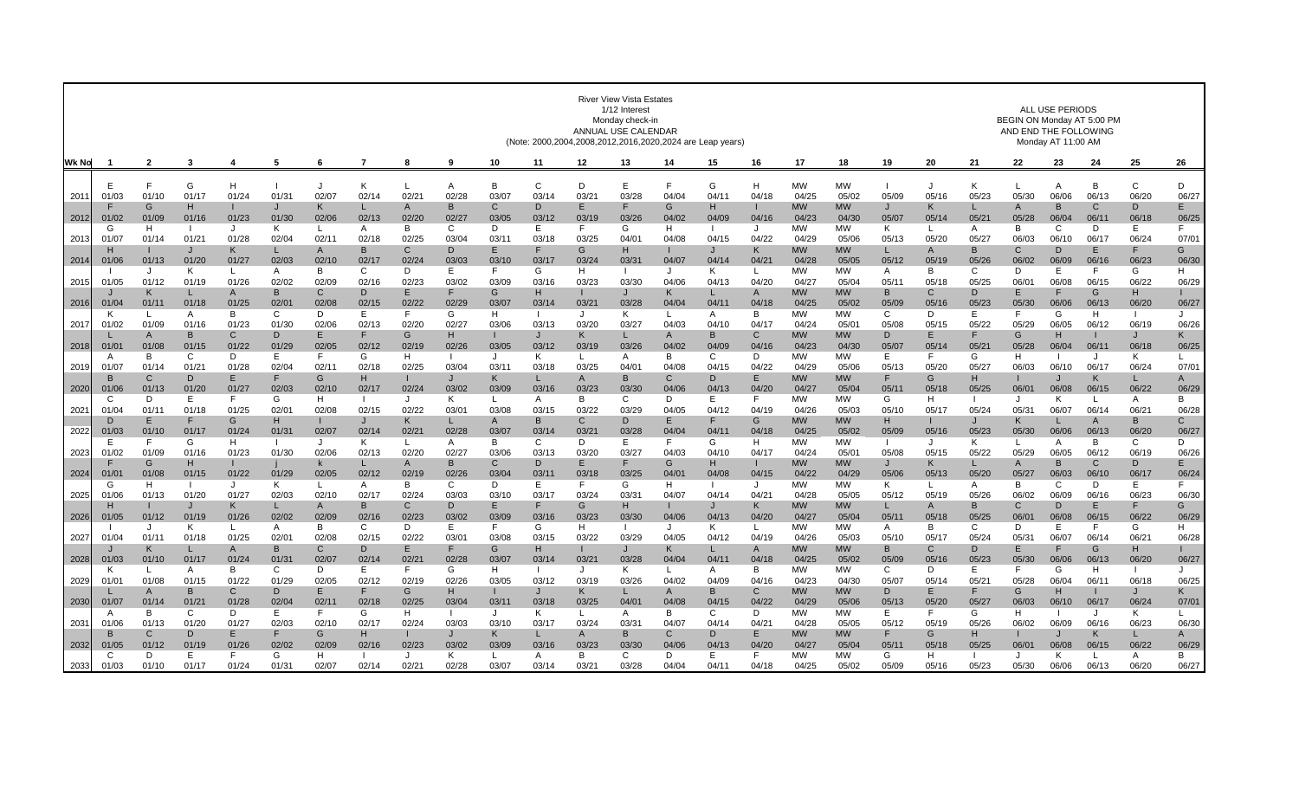|       |                   |                       |                  |                         |             |              |              |                  |             |                       | (Note: 2000,2004,2008,2012,2016,2020,2024 are Leap years) |                  | <b>ALL USE PERIODS</b><br>BEGIN ON Monday AT 5:00 PM<br>AND END THE FOLLOWING<br>Monday AT 11:00 AM |                       |            |                       |                    |                    |             |             |                       |             |                       |            |                       |                       |
|-------|-------------------|-----------------------|------------------|-------------------------|-------------|--------------|--------------|------------------|-------------|-----------------------|-----------------------------------------------------------|------------------|-----------------------------------------------------------------------------------------------------|-----------------------|------------|-----------------------|--------------------|--------------------|-------------|-------------|-----------------------|-------------|-----------------------|------------|-----------------------|-----------------------|
| Wk No |                   | $\overline{2}$        | 3                | 4                       | 5           | 6            | -7           | 8                | 9           | 10                    | 11                                                        | 12               | 13                                                                                                  | 14                    | 15         | 16                    | 17                 | 18                 | 19          | 20          | 21                    | 22          | 23                    | 24         | 25                    | 26                    |
|       |                   | F                     | G                | H                       |             |              | K            | L                | A           | B                     | $\mathsf{C}$                                              | D                | Е                                                                                                   |                       | G          | H                     | <b>MW</b>          | <b>MW</b>          |             | J           | K                     |             | A                     | В          | $\mathbf C$           | D                     |
| 2011  | 01/03             | 01/10                 | 01/17            | 01/24                   | 01/3        | 02/07        | 02/14        | 02/2             | 02/28       | 03/07                 | 03/14                                                     | $03/2^3$         | 03/28                                                                                               | 04/04                 | 04/1       | 04/18                 | 04/25              | 05/02              | 05/09       | 05/16       | 05/23                 | 05/30       | 06/06                 | 06/13      | 06/20                 | 06/27                 |
| 2012  | 01/02             | G<br>01/09            | н<br>01/16       | 01/23                   | 01/30       | K<br>02/06   | 02/13        | A<br>02/20       | B<br>02/27  | C<br>03/05            | D<br>03/12                                                | E.<br>03/19      | 03/26                                                                                               | G<br>04/02            | н<br>04/09 | 04/16                 | <b>MW</b><br>04/23 | <b>MW</b><br>04/30 | J<br>05/07  | Κ<br>05/14  | 05/2 <sup>1</sup>     | A<br>05/28  | B<br>06/04            | C<br>06/1  | D<br>06/18            | E.<br>06/25           |
| 2013  | G<br>01/07        | H<br>01/14            | 01/21            | J<br>01/28              | Κ<br>02/04  | 02/11        | A<br>02/18   | В<br>02/25       | C<br>03/04  | D<br>03/1             | Е<br>03/18                                                | F.<br>03/25      | G<br>04/01                                                                                          | H<br>04/08            | 04/15      | J<br>04/22            | <b>MW</b><br>04/29 | МW<br>05/06        | K.<br>05/13 | L<br>05/20  | A<br>05/27            | B<br>06/03  | $\mathsf{C}$<br>06/10 | D<br>06/17 | E.<br>06/24           | F<br>07/01            |
|       |                   |                       | $\cdot$          | K                       | L           | $\mathsf{A}$ | <sub>B</sub> | C                | D.          | E                     | F.                                                        | G                | н                                                                                                   |                       | J          | K                     | <b>MW</b>          | <b>MW</b>          |             | A           | <sub>B</sub>          | C           | D                     | Е          | F.                    | G                     |
| 2014  | 01/06             | 01/13                 | 01/20            | 01/27                   | 02/03       | 02/10        | 02/17        | 02/24            | 03/03       | 03/10                 | 03/17                                                     | 03/24            | 03/31                                                                                               | 04/07                 | 04/14      | 04/21                 | 04/28              | 05/05              | 05/12       | 05/19       | 05/26                 | 06/02       | 06/09                 | 06/16      | 06/23                 | 06/30                 |
| 2015  | 01/05             | 01/12                 | K<br>01/19       | 01/26                   | A<br>02/02  | B<br>02/09   | C<br>02/16   | D<br>02/23       | E<br>03/02  | F.<br>03/09           | G<br>03/16                                                | H<br>03/23       | 03/30                                                                                               | $\cdot$<br>04/06      | ĸ<br>04/13 | 04/20                 | <b>MW</b><br>04/27 | <b>MW</b><br>05/04 | A<br>05/11  | B<br>05/18  | $\mathsf{C}$<br>05/25 | D.<br>06/01 | E<br>06/08            | F<br>06/15 | G<br>06/22            | H<br>06/29            |
|       |                   | к                     |                  | A                       | B           | C            | D            | E                | F           | G                     | H                                                         |                  |                                                                                                     | K                     | L          | $\mathsf{A}$          | <b>MW</b>          | МW                 | в           | C           | D                     | E.          |                       | G          | H                     |                       |
| 2016  | 01/04             | 01/1                  | 01/18            | 01/25                   | 02/0        | 02/08        | 02/15        | 02/22            | 02/29       | 03/07                 | 03/14                                                     | 03/21            | 03/28                                                                                               | 04/04                 | 04/1       | 04/18                 | 04/25              | 05/02              | 05/09       | 05/16       | 05/23                 | 05/30       | 06/06                 | 06/13      | 06/20                 | 06/27                 |
| 2017  | κ<br>01/02        | L<br>01/09            | A<br>01/16       | B<br>01/23              | C<br>01/30  | D<br>02/06   | Е<br>02/13   | F.<br>02/20      | G<br>02/27  | H.<br>03/06           | $\mathbf{L}$<br>03/13                                     | $\cdot$<br>03/20 | Κ<br>03/27                                                                                          | $\mathbf{I}$<br>04/03 | A<br>04/10 | B<br>04/17            | <b>MW</b><br>04/24 | <b>MW</b><br>05/01 | C<br>05/08  | D<br>05/15  | E<br>05/22            | F<br>05/29  | G<br>06/05            | H<br>06/12 | 06/19                 | $\cdot$<br>06/26      |
|       |                   | $\mathsf{A}$          | <b>B</b>         | C                       | D           |              |              | G                | н           |                       | $\cdot$                                                   | ĸ                |                                                                                                     | $\mathsf{A}$          | B          | $\mathsf{C}$          | <b>MW</b>          | <b>MW</b>          | D           | E           |                       | G           | н                     |            | J                     | K                     |
| 2018  | 01/0              | 01/08                 | 01/15            | 01/22                   | 01/29       | 02/05        | 02/12        | 02/19            | 02/26       | 03/05                 | 03/12                                                     | 03/19            | 03/26                                                                                               | 04/02                 | 04/09      | 04/16                 | 04/23              | 04/30              | 05/07       | 05/14       | 05/2 <sup>2</sup>     | 05/28       | 06/04                 | 06/11      | 06/18                 | 06/25                 |
| 2019  | A<br>01/0         | B<br>01/14            | C<br>01/2        | D<br>01/28              | E.<br>02/04 | 02/11        | G<br>02/18   | H<br>02/25       | -1<br>03/04 | J<br>03/1             | Κ<br>03/18                                                | L.<br>03/25      | A<br>04/01                                                                                          | B<br>04/08            | C<br>04/1  | D<br>04/22            | <b>MW</b><br>04/29 | <b>MW</b><br>05/06 | Ε<br>05/13  | F<br>05/20  | G<br>05/27            | H.<br>06/03 | 06/10                 | J<br>06/17 | K<br>06/24            | L<br>07/01            |
|       |                   | $\mathsf{C}$          | D                | E                       | F           | G            | н            |                  | J           | K                     |                                                           | A                | B                                                                                                   | C                     | D          | E                     | <b>MW</b>          | <b>MW</b>          |             | G           | H                     |             |                       | K          | L                     | $\mathsf{A}$          |
| 2020  | 01/06             | 01/13                 | 01/20            | 01/27                   | 02/03       | 02/10        | 02/17        | 02/24            | 03/02       | 03/09                 | 03/16                                                     | 03/23            | 03/30                                                                                               | 04/06                 | 04/13      | 04/20                 | 04/27              | 05/04              | 05/11       | 05/18       | 05/25                 | 06/01       | 06/08                 | 06/15      | 06/22                 | 06/29                 |
|       | $\cap$            | D                     | F                | E                       | G           | H            |              | $\cdot$          | K           | $\mathbf{L}$          | A                                                         | R.               | C                                                                                                   | D                     | Е          |                       | <b>MW</b>          | <b>MW</b>          | G           | н           |                       | $\cdot$     | K                     |            | A                     | B                     |
| 2021  | 01/04<br>D        | 01/11<br>E            | 01/18            | 01/25<br>G              | 02/0<br>H.  | 02/08        | 02/15        | 02/22<br>K       | 03/01<br>L  | 03/08<br>$\mathsf{A}$ | 03/15<br>B                                                | 03/22<br>C       | 03/29<br>D                                                                                          | 04/05<br>E            | 04/12<br>F | 04/19<br>G            | 04/26<br><b>MW</b> | 05/03<br>МW        | 05/10<br>н  | 05/17       | 05/24<br>$\cdot$      | 05/31<br>K  | 06/07                 | 06/14<br>A | 06/21<br>B            | 06/28<br>$\mathsf{C}$ |
| 2022  | 01/03             | 01/10                 | 01/17            | 01/24                   | 01/3        | 02/07        | 02/14        | 02/2             | 02/28       | 03/07                 | 03/14                                                     | 03/2             | 03/28                                                                                               | 04/04                 | 04/1       | 04/18                 | 04/25              | 05/02              | 05/09       | 05/16       | 05/23                 | 05/30       | 06/06                 | 06/13      | 06/20                 | 06/27                 |
|       | Е                 | F                     | G                | н                       |             |              | κ            | L                | A           | B                     | C                                                         | D.               | Е                                                                                                   | F                     | G          | н                     | <b>MW</b>          | МW                 |             | . 1         | K                     |             | A                     | B          | C                     | D                     |
| 2023  | 01/02             | 01/09<br>G            | 01/16<br>H       | 01/23<br>Т.             | 01/30       | 02/06<br>k.  | 02/13        | 02/20<br>A       | 02/27<br>B  | 03/06<br>$\mathsf{C}$ | 03/13<br>D                                                | 03/20<br>E.      | 03/27                                                                                               | 04/03<br>G            | 04/10<br>H | 04/17                 | 04/24<br><b>MW</b> | 05/0<br><b>MW</b>  | 05/08<br>J. | 05/15<br>κ  | 05/22                 | 05/29<br>A  | 06/05<br>B            | 06/12<br>C | 06/19<br>D            | 06/26<br>E.           |
| 2024  | 01/0 <sup>1</sup> | 01/08                 | 01/15            | 01/22                   | 01/29       | 02/05        | 02/12        | 02/19            | 02/26       | 03/04                 | 03/11                                                     | 03/18            | 03/25                                                                                               | 04/01                 | 04/08      | 04/15                 | 04/22              | 04/29              | 05/06       | 05/13       | 05/20                 | 05/27       | 06/03                 | 06/10      | 06/17                 | 06/24                 |
|       | G                 | H                     |                  | $\cdot$                 | K           |              | A            | B                | C           | D                     | E                                                         | F.               | G                                                                                                   | H                     |            | $\cdot$               | <b>MW</b>          | МW                 | K           | L           | A                     | B           | C                     | D          | E                     | F                     |
| 2025  | 01/06             | 01/13                 | 01/20            | 01/27                   | 02/03       | 02/10        | 02/17<br>B   | 02/24<br>C       | 03/03<br>D  | 03/10<br>E            | 03/17                                                     | 03/24<br>G       | 03/31<br>н                                                                                          | 04/07                 | 04/14      | 04/21<br>K            | 04/28<br><b>MW</b> | 05/05<br>МW        | 05/12       | 05/19       | 05/26<br>B            | 06/02<br>C  | 06/09<br>D            | 06/16<br>Е | 06/23<br>F            | 06/30<br>G            |
| 2026  | 01/05             | 01/12                 | 01/19            | Κ<br>01/26              | L.<br>02/02 | A<br>02/09   | 02/16        | 02/23            | 03/02       | 03/09                 | 03/16                                                     | 03/23            | 03/30                                                                                               | 04/06                 | 04/13      | 04/20                 | 04/27              | 05/04              | 05/11       | A<br>05/18  | 05/25                 | 06/0        | 06/08                 | 06/15      | 06/22                 | 06/29                 |
|       |                   | $\cdot$               | Κ                | L.                      | A           | B            | C            | D                | E           | F.                    | G                                                         | H.               | -1                                                                                                  | J                     | Κ          |                       | <b>MW</b>          | <b>MW</b>          | A           | B           | C                     | D           | E                     | F.         | G                     | H                     |
| 2027  | 01/04             | 01/11                 | 01/18            | 01/25                   | 02/0        | 02/08        | 02/15        | 02/22            | 03/01<br>E  | 03/08                 | 03/15                                                     | 03/22            | 03/29                                                                                               | 04/05                 | 04/12      | 04/19                 | 04/26              | 05/03              | 05/10       | 05/17       | 05/24                 | 05/31       | 06/07                 | 06/14      | 06/21                 | 06/28                 |
| 2028  | 01/03             | K<br>01/10            | 01/17            | $\overline{A}$<br>01/24 | B<br>01/3   | C<br>02/07   | D<br>02/14   | E<br>02/21       | 02/28       | G<br>03/07            | H<br>03/14                                                | 03/21            | 03/28                                                                                               | K<br>04/04            | L<br>04/1  | $\mathsf{A}$<br>04/18 | <b>MW</b><br>04/25 | <b>MW</b><br>05/02 | B<br>05/09  | C<br>05/16  | D<br>05/23            | E<br>05/30  | 06/06                 | G<br>06/13 | H<br>06/20            | 06/27                 |
|       | κ                 | $\mathbf{L}$          | A                | <sub>B</sub>            | C           | D            | E            | F.               | G           | H.                    |                                                           | $\cdot$          | ĸ                                                                                                   |                       | A          | <b>B</b>              | <b>MW</b>          | <b>MW</b>          | C           | D           | Ε                     | F           | G                     | H.         |                       | $\cdot$               |
| 2029  | $01/0^{-1}$       | 01/08                 | 01/15            | 01/22                   | 01/29       | 02/05        | 02/12        | 02/19            | 02/26       | 03/05                 | 03/12                                                     | 03/19            | 03/26                                                                                               | 04/02                 | 04/09      | 04/16                 | 04/23              | 04/30              | 05/07       | 05/14       | 05/2                  | 05/28       | 06/04                 | 06/1       | 06/18                 | 06/25                 |
| 2030  | 01/07             | $\mathsf{A}$<br>01/14 | <b>B</b><br>01/2 | C<br>01/28              | D<br>02/04  | 02/11        | 02/18        | G<br>02/25       | н<br>03/04  | 03/11                 | 03/18                                                     | K.<br>03/25      | 04/01                                                                                               | $\mathsf{A}$<br>04/08 | B<br>04/15 | C<br>04/22            | <b>MW</b><br>04/29 | <b>MW</b><br>05/06 | D.<br>05/13 | E<br>05/20  | F<br>05/27            | G<br>06/03  | H<br>06/10            | 06/17      | $\mathbf{J}$<br>06/24 | K<br>07/01            |
|       | A                 | B                     | C                | D                       | E.          |              | G            | H                | -1          | J                     | K                                                         | L                | A                                                                                                   | B                     | C          | D                     | <b>MW</b>          | <b>MW</b>          | E.          | F           | G                     | н           |                       | $\cdot$    | K                     |                       |
| 2031  | 01/06             | 01/13                 | 01/20            | 01/27                   | 02/03       | 02/10        | 02/17        | 02/24            | 03/03       | 03/10                 | 03/17                                                     | 03/24            | 03/31                                                                                               | 04/07                 | 04/14      | $04/2^1$              | 04/28              | 05/05              | 05/12       | 05/19       | 05/26                 | 06/02       | 06/09                 | 06/16      | 06/23                 | 06/30                 |
|       |                   | $\mathsf{C}$          | $\mathsf{D}$     | E                       | F           | G            | н            |                  |             | K                     |                                                           | A                | B                                                                                                   | C                     | D          | F                     | <b>MW</b>          | МW                 | F           | G           | H                     |             |                       | K          | L                     | A                     |
| 2032  | 01/05             | 01/12<br>D            | 01/19<br>Е       | 01/26<br>F              | 02/02<br>G  | 02/09<br>H   | 02/16        | 02/23<br>$\cdot$ | 03/02<br>K  | 03/09<br>L            | 03/16<br>A                                                | 03/23<br>B       | 03/30<br>C                                                                                          | 04/06<br>D            | 04/13<br>Е | 04/20                 | 04/27<br><b>MW</b> | 05/04<br><b>MW</b> | 05/11<br>G  | 05/18<br>H. | 05/25                 | 06/01<br>J  | 06/08<br>K            | 06/15      | 06/22<br>A            | 06/29<br>B            |
| 2033  | 01/03             | 01/10                 | 01/17            | 01/24                   | 01/31       | 02/07        | 02/14        | 02/21            | 02/28       | 03/07                 | 03/14                                                     | 03/21            | 03/28                                                                                               | 04/04                 | 04/1       | 04/18                 | 04/25              | 05/02              | 05/09       | 05/16       | 05/23                 | 05/30       | 06/06                 | 06/13      | 06/20                 | 06/27                 |